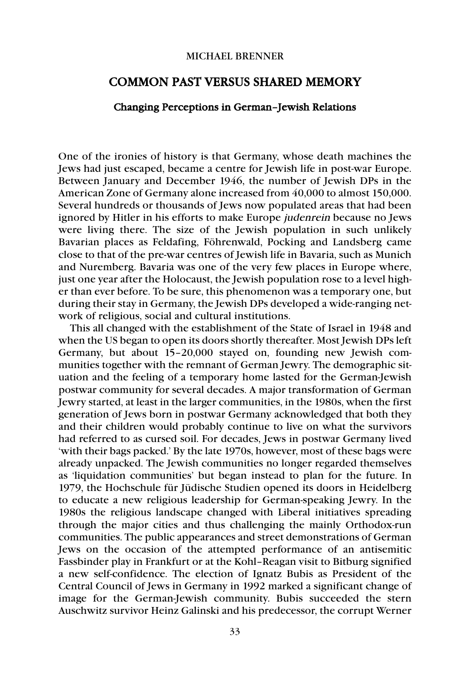## MICHAEL BRENNER

## COMMON PAST VERSUS SHARED MEMORY

## Changing Perceptions in German–Jewish Relations

One of the ironies of history is that Germany, whose death machines the Jews had just escaped, became a centre for Jewish life in post-war Europe. Between January and December 1946, the number of Jewish DPs in the American Zone of Germany alone increased from 40,000 to almost 150,000. Several hundreds or thousands of Jews now populated areas that had been ignored by Hitler in his efforts to make Europe judenrein because no Jews were living there. The size of the Jewish population in such unlikely Bavarian places as Feldafing, Föhrenwald, Pocking and Landsberg came close to that of the pre-war centres of Jewish life in Bavaria, such as Munich and Nuremberg. Bavaria was one of the very few places in Europe where, just one year after the Holocaust, the Jewish population rose to a level higher than ever before. To be sure, this phenomenon was a temporary one, but during their stay in Germany, the Jewish DPs developed a wide-ranging network of religious, social and cultural institutions.

This all changed with the establishment of the State of Israel in 1948 and when the US began to open its doors shortly thereafter. Most Jewish DPs left Germany, but about 15–20,000 stayed on, founding new Jewish communities together with the remnant of German Jewry. The demographic situation and the feeling of a temporary home lasted for the German-Jewish postwar community for several decades. A major transformation of German Jewry started, at least in the larger communities, in the 1980s, when the first generation of Jews born in postwar Germany acknowledged that both they and their children would probably continue to live on what the survivors had referred to as cursed soil. For decades, Jews in postwar Germany lived 'with their bags packed.' By the late 1970s, however, most of these bags were already unpacked. The Jewish communities no longer regarded themselves as 'liquidation communities' but began instead to plan for the future. In 1979, the Hochschule für Jüdische Studien opened its doors in Heidelberg to educate a new religious leadership for German-speaking Jewry. In the 1980s the religious landscape changed with Liberal initiatives spreading through the major cities and thus challenging the mainly Orthodox-run communities. The public appearances and street demonstrations of German Jews on the occasion of the attempted performance of an antisemitic Fassbinder play in Frankfurt or at the Kohl–Reagan visit to Bitburg signified a new self-confidence. The election of Ignatz Bubis as President of the Central Council of Jews in Germany in 1992 marked a significant change of image for the German-Jewish community. Bubis succeeded the stern Auschwitz survivor Heinz Galinski and his predecessor, the corrupt Werner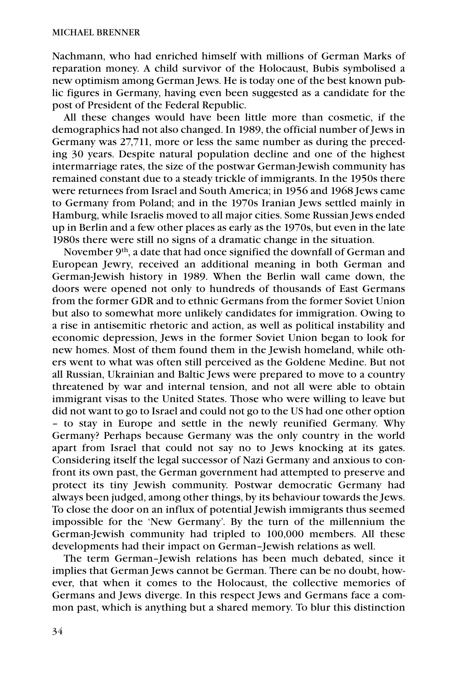Nachmann, who had enriched himself with millions of German Marks of reparation money. A child survivor of the Holocaust, Bubis symbolised a new optimism among German Jews. He is today one of the best known public figures in Germany, having even been suggested as a candidate for the post of President of the Federal Republic.

All these changes would have been little more than cosmetic, if the demographics had not also changed. In 1989, the official number of Jews in Germany was 27,711, more or less the same number as during the preceding 30 years. Despite natural population decline and one of the highest intermarriage rates, the size of the postwar German-Jewish community has remained constant due to a steady trickle of immigrants. In the 1950s there were returnees from Israel and South America; in 1956 and 1968 Jews came to Germany from Poland; and in the 1970s Iranian Jews settled mainly in Hamburg, while Israelis moved to all major cities. Some Russian Jews ended up in Berlin and a few other places as early as the 1970s, but even in the late 1980s there were still no signs of a dramatic change in the situation.

November 9<sup>th</sup>, a date that had once signified the downfall of German and European Jewry, received an additional meaning in both German and German-Jewish history in 1989. When the Berlin wall came down, the doors were opened not only to hundreds of thousands of East Germans from the former GDR and to ethnic Germans from the former Soviet Union but also to somewhat more unlikely candidates for immigration. Owing to a rise in antisemitic rhetoric and action, as well as political instability and economic depression, Jews in the former Soviet Union began to look for new homes. Most of them found them in the Jewish homeland, while others went to what was often still perceived as the Goldene Medine. But not all Russian, Ukrainian and Baltic Jews were prepared to move to a country threatened by war and internal tension, and not all were able to obtain immigrant visas to the United States. Those who were willing to leave but did not want to go to Israel and could not go to the US had one other option – to stay in Europe and settle in the newly reunified Germany. Why Germany? Perhaps because Germany was the only country in the world apart from Israel that could not say no to Jews knocking at its gates. Considering itself the legal successor of Nazi Germany and anxious to confront its own past, the German government had attempted to preserve and protect its tiny Jewish community. Postwar democratic Germany had always been judged, among other things, by its behaviour towards the Jews. To close the door on an influx of potential Jewish immigrants thus seemed impossible for the 'New Germany'. By the turn of the millennium the German-Jewish community had tripled to 100,000 members. All these developments had their impact on German–Jewish relations as well.

The term German–Jewish relations has been much debated, since it implies that German Jews cannot be German. There can be no doubt, however, that when it comes to the Holocaust, the collective memories of Germans and Jews diverge. In this respect Jews and Germans face a common past, which is anything but a shared memory. To blur this distinction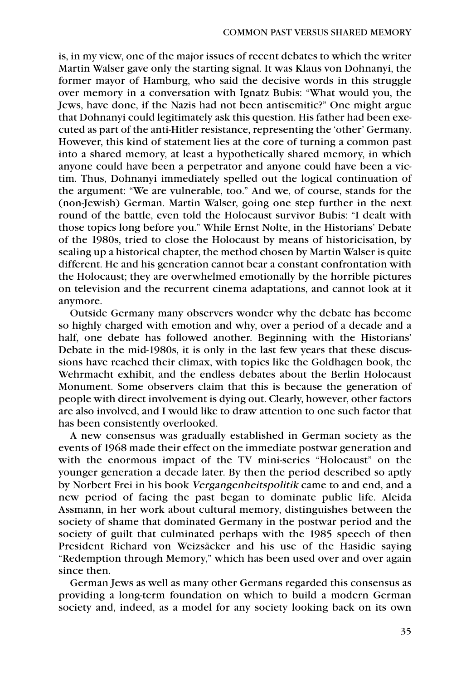is, in my view, one of the major issues of recent debates to which the writer Martin Walser gave only the starting signal. It was Klaus von Dohnanyi, the former mayor of Hamburg, who said the decisive words in this struggle over memory in a conversation with Ignatz Bubis: "What would you, the Jews, have done, if the Nazis had not been antisemitic?" One might argue that Dohnanyi could legitimately ask this question. His father had been executed as part of the anti-Hitler resistance, representing the 'other' Germany. However, this kind of statement lies at the core of turning a common past into a shared memory, at least a hypothetically shared memory, in which anyone could have been a perpetrator and anyone could have been a victim. Thus, Dohnanyi immediately spelled out the logical continuation of the argument: "We are vulnerable, too." And we, of course, stands for the (non-Jewish) German. Martin Walser, going one step further in the next round of the battle, even told the Holocaust survivor Bubis: "I dealt with those topics long before you." While Ernst Nolte, in the Historians' Debate of the 1980s, tried to close the Holocaust by means of historicisation, by sealing up a historical chapter, the method chosen by Martin Walser is quite different. He and his generation cannot bear a constant confrontation with the Holocaust; they are overwhelmed emotionally by the horrible pictures on television and the recurrent cinema adaptations, and cannot look at it anymore.

Outside Germany many observers wonder why the debate has become so highly charged with emotion and why, over a period of a decade and a half, one debate has followed another. Beginning with the Historians' Debate in the mid-1980s, it is only in the last few years that these discussions have reached their climax, with topics like the Goldhagen book, the Wehrmacht exhibit, and the endless debates about the Berlin Holocaust Monument. Some observers claim that this is because the generation of people with direct involvement is dying out. Clearly, however, other factors are also involved, and I would like to draw attention to one such factor that has been consistently overlooked.

A new consensus was gradually established in German society as the events of 1968 made their effect on the immediate postwar generation and with the enormous impact of the TV mini-series "Holocaust" on the younger generation a decade later. By then the period described so aptly by Norbert Frei in his book Vergangenheitspolitik came to and end, and a new period of facing the past began to dominate public life. Aleida Assmann, in her work about cultural memory, distinguishes between the society of shame that dominated Germany in the postwar period and the society of guilt that culminated perhaps with the 1985 speech of then President Richard von Weizsäcker and his use of the Hasidic saying "Redemption through Memory," which has been used over and over again since then.

German Jews as well as many other Germans regarded this consensus as providing a long-term foundation on which to build a modern German society and, indeed, as a model for any society looking back on its own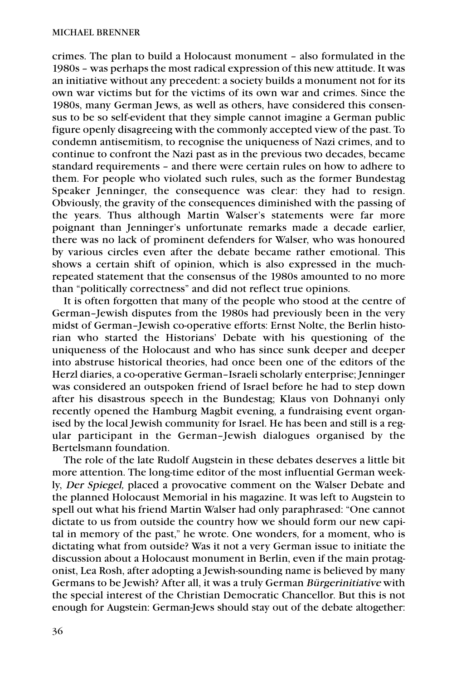crimes. The plan to build a Holocaust monument – also formulated in the 1980s – was perhaps the most radical expression of this new attitude. It was an initiative without any precedent: a society builds a monument not for its own war victims but for the victims of its own war and crimes. Since the 1980s, many German Jews, as well as others, have considered this consensus to be so self-evident that they simple cannot imagine a German public figure openly disagreeing with the commonly accepted view of the past. To condemn antisemitism, to recognise the uniqueness of Nazi crimes, and to continue to confront the Nazi past as in the previous two decades, became standard requirements – and there were certain rules on how to adhere to them. For people who violated such rules, such as the former Bundestag Speaker Jenninger, the consequence was clear: they had to resign. Obviously, the gravity of the consequences diminished with the passing of the years. Thus although Martin Walser's statements were far more poignant than Jenninger's unfortunate remarks made a decade earlier, there was no lack of prominent defenders for Walser, who was honoured by various circles even after the debate became rather emotional. This shows a certain shift of opinion, which is also expressed in the muchrepeated statement that the consensus of the 1980s amounted to no more than "politically correctness" and did not reflect true opinions.

It is often forgotten that many of the people who stood at the centre of German–Jewish disputes from the 1980s had previously been in the very midst of German–Jewish co-operative efforts: Ernst Nolte, the Berlin historian who started the Historians' Debate with his questioning of the uniqueness of the Holocaust and who has since sunk deeper and deeper into abstruse historical theories, had once been one of the editors of the Herzl diaries, a co-operative German–Israeli scholarly enterprise; Jenninger was considered an outspoken friend of Israel before he had to step down after his disastrous speech in the Bundestag; Klaus von Dohnanyi only recently opened the Hamburg Magbit evening, a fundraising event organised by the local Jewish community for Israel. He has been and still is a regular participant in the German–Jewish dialogues organised by the Bertelsmann foundation.

The role of the late Rudolf Augstein in these debates deserves a little bit more attention. The long-time editor of the most influential German weekly, Der Spiegel, placed a provocative comment on the Walser Debate and the planned Holocaust Memorial in his magazine. It was left to Augstein to spell out what his friend Martin Walser had only paraphrased: "One cannot dictate to us from outside the country how we should form our new capital in memory of the past," he wrote. One wonders, for a moment, who is dictating what from outside? Was it not a very German issue to initiate the discussion about a Holocaust monument in Berlin, even if the main protagonist, Lea Rosh, after adopting a Jewish-sounding name is believed by many Germans to be Jewish? After all, it was a truly German Bürgerinitiative with the special interest of the Christian Democratic Chancellor. But this is not enough for Augstein: German-Jews should stay out of the debate altogether: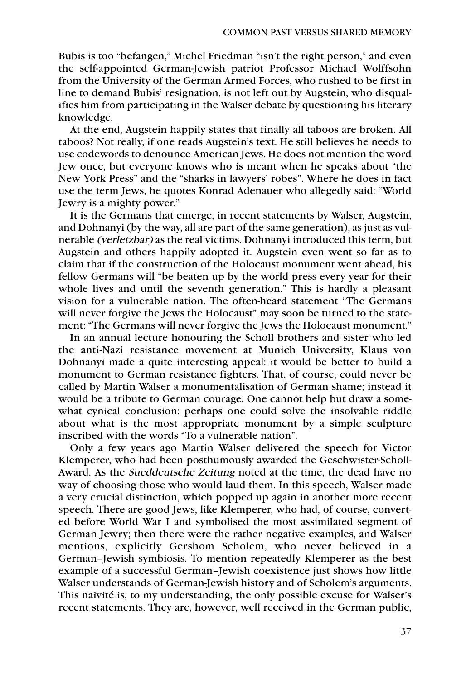Bubis is too "befangen," Michel Friedman "isn't the right person," and even the self-appointed German-Jewish patriot Professor Michael Wolffsohn from the University of the German Armed Forces, who rushed to be first in line to demand Bubis' resignation, is not left out by Augstein, who disqualifies him from participating in the Walser debate by questioning his literary knowledge.

At the end, Augstein happily states that finally all taboos are broken. All taboos? Not really, if one reads Augstein's text. He still believes he needs to use codewords to denounce American Jews. He does not mention the word Jew once, but everyone knows who is meant when he speaks about "the New York Press" and the "sharks in lawyers' robes". Where he does in fact use the term Jews, he quotes Konrad Adenauer who allegedly said: "World Jewry is a mighty power."

It is the Germans that emerge, in recent statements by Walser, Augstein, and Dohnanyi (by the way, all are part of the same generation), as just as vulnerable (verletzbar) as the real victims. Dohnanyi introduced this term, but Augstein and others happily adopted it. Augstein even went so far as to claim that if the construction of the Holocaust monument went ahead, his fellow Germans will "be beaten up by the world press every year for their whole lives and until the seventh generation." This is hardly a pleasant vision for a vulnerable nation. The often-heard statement "The Germans will never forgive the Jews the Holocaust" may soon be turned to the statement: "The Germans will never forgive the Jews the Holocaust monument."

In an annual lecture honouring the Scholl brothers and sister who led the anti-Nazi resistance movement at Munich University, Klaus von Dohnanyi made a quite interesting appeal: it would be better to build a monument to German resistance fighters. That, of course, could never be called by Martin Walser a monumentalisation of German shame; instead it would be a tribute to German courage. One cannot help but draw a somewhat cynical conclusion: perhaps one could solve the insolvable riddle about what is the most appropriate monument by a simple sculpture inscribed with the words "To a vulnerable nation".

Only a few years ago Martin Walser delivered the speech for Victor Klemperer, who had been posthumously awarded the Geschwister-Scholl-Award. As the Sueddeutsche Zeitung noted at the time, the dead have no way of choosing those who would laud them. In this speech, Walser made a very crucial distinction, which popped up again in another more recent speech. There are good Jews, like Klemperer, who had, of course, converted before World War I and symbolised the most assimilated segment of German Jewry; then there were the rather negative examples, and Walser mentions, explicitly Gershom Scholem, who never believed in a German–Jewish symbiosis. To mention repeatedly Klemperer as the best example of a successful German–Jewish coexistence just shows how little Walser understands of German-Jewish history and of Scholem's arguments. This naivité is, to my understanding, the only possible excuse for Walser's recent statements. They are, however, well received in the German public,